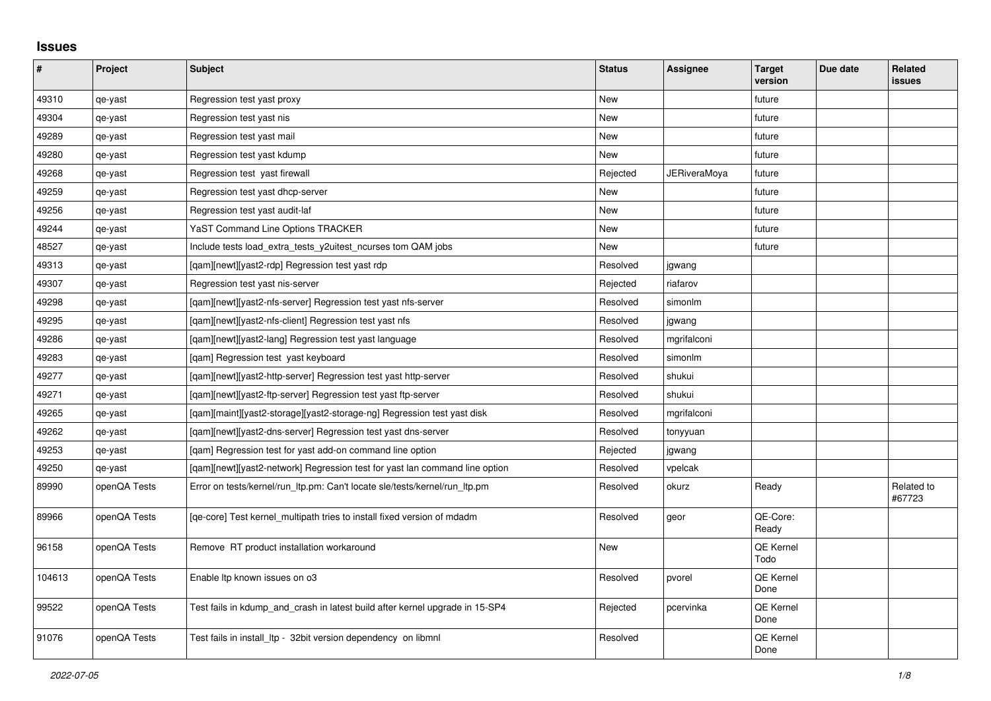## **Issues**

| $\sharp$ | Project      | <b>Subject</b>                                                               | <b>Status</b> | <b>Assignee</b> | <b>Target</b><br>version | Due date | Related<br>issues    |
|----------|--------------|------------------------------------------------------------------------------|---------------|-----------------|--------------------------|----------|----------------------|
| 49310    | qe-yast      | Regression test yast proxy                                                   | <b>New</b>    |                 | future                   |          |                      |
| 49304    | qe-yast      | Regression test yast nis                                                     | New           |                 | future                   |          |                      |
| 49289    | qe-yast      | Regression test yast mail                                                    | <b>New</b>    |                 | future                   |          |                      |
| 49280    | qe-yast      | Regression test yast kdump                                                   | New           |                 | future                   |          |                      |
| 49268    | qe-yast      | Regression test yast firewall                                                | Rejected      | JERiveraMoya    | future                   |          |                      |
| 49259    | qe-yast      | Regression test yast dhcp-server                                             | <b>New</b>    |                 | future                   |          |                      |
| 49256    | qe-yast      | Regression test yast audit-laf                                               | New           |                 | future                   |          |                      |
| 49244    | qe-yast      | <b>YaST Command Line Options TRACKER</b>                                     | New           |                 | future                   |          |                      |
| 48527    | qe-yast      | Include tests load_extra_tests_y2uitest_ncurses tom QAM jobs                 | <b>New</b>    |                 | future                   |          |                      |
| 49313    | qe-yast      | [gam][newt][yast2-rdp] Regression test yast rdp                              | Resolved      | jgwang          |                          |          |                      |
| 49307    | qe-yast      | Regression test yast nis-server                                              | Rejected      | riafarov        |                          |          |                      |
| 49298    | qe-yast      | [gam][newt][yast2-nfs-server] Regression test yast nfs-server                | Resolved      | simonlm         |                          |          |                      |
| 49295    | qe-yast      | [qam][newt][yast2-nfs-client] Regression test yast nfs                       | Resolved      | jgwang          |                          |          |                      |
| 49286    | qe-yast      | [qam][newt][yast2-lang] Regression test yast language                        | Resolved      | mgrifalconi     |                          |          |                      |
| 49283    | qe-yast      | [qam] Regression test yast keyboard                                          | Resolved      | simonlm         |                          |          |                      |
| 49277    | qe-yast      | [qam][newt][yast2-http-server] Regression test yast http-server              | Resolved      | shukui          |                          |          |                      |
| 49271    | qe-yast      | [qam][newt][yast2-ftp-server] Regression test yast ftp-server                | Resolved      | shukui          |                          |          |                      |
| 49265    | qe-yast      | [qam][maint][yast2-storage][yast2-storage-ng] Regression test yast disk      | Resolved      | mgrifalconi     |                          |          |                      |
| 49262    | qe-yast      | [qam][newt][yast2-dns-server] Regression test yast dns-server                | Resolved      | tonyyuan        |                          |          |                      |
| 49253    | qe-yast      | [gam] Regression test for yast add-on command line option                    | Rejected      | jgwang          |                          |          |                      |
| 49250    | qe-yast      | [gam][newt][yast2-network] Regression test for yast lan command line option  | Resolved      | vpelcak         |                          |          |                      |
| 89990    | openQA Tests | Error on tests/kernel/run_ltp.pm: Can't locate sle/tests/kernel/run_ltp.pm   | Resolved      | okurz           | Ready                    |          | Related to<br>#67723 |
| 89966    | openQA Tests | [qe-core] Test kernel_multipath tries to install fixed version of mdadm      | Resolved      | geor            | QE-Core:<br>Ready        |          |                      |
| 96158    | openQA Tests | Remove RT product installation workaround                                    | <b>New</b>    |                 | QE Kernel<br>Todo        |          |                      |
| 104613   | openQA Tests | Enable Itp known issues on o3                                                | Resolved      | pvorel          | QE Kernel<br>Done        |          |                      |
| 99522    | openQA Tests | Test fails in kdump_and_crash in latest build after kernel upgrade in 15-SP4 | Rejected      | pcervinka       | QE Kernel<br>Done        |          |                      |
| 91076    | openQA Tests | Test fails in install Itp - 32bit version dependency on libmnl               | Resolved      |                 | QE Kernel<br>Done        |          |                      |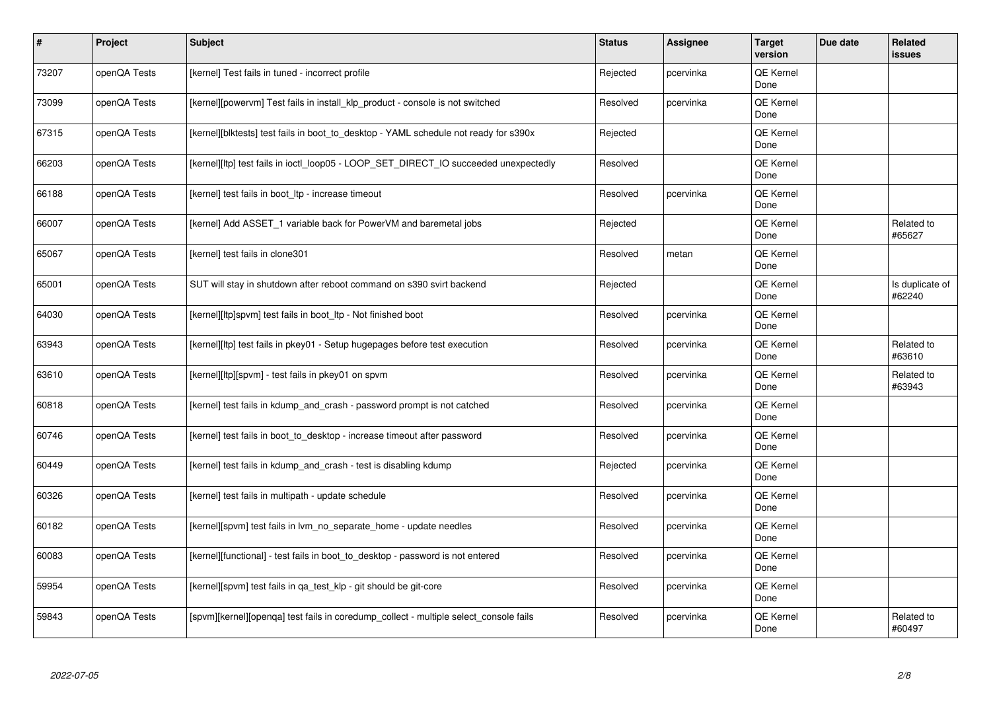| $\sharp$ | Project      | <b>Subject</b>                                                                        | <b>Status</b> | <b>Assignee</b> | <b>Target</b><br>version | Due date | <b>Related</b><br>issues  |
|----------|--------------|---------------------------------------------------------------------------------------|---------------|-----------------|--------------------------|----------|---------------------------|
| 73207    | openQA Tests | [kernel] Test fails in tuned - incorrect profile                                      | Rejected      | pcervinka       | <b>QE Kernel</b><br>Done |          |                           |
| 73099    | openQA Tests | [kernel][powervm] Test fails in install_klp_product - console is not switched         | Resolved      | pcervinka       | QE Kernel<br>Done        |          |                           |
| 67315    | openQA Tests | [kernel][blktests] test fails in boot to desktop - YAML schedule not ready for s390x  | Rejected      |                 | QE Kernel<br>Done        |          |                           |
| 66203    | openQA Tests | [kernel][ltp] test fails in ioctl_loop05 - LOOP_SET_DIRECT_IO succeeded unexpectedly  | Resolved      |                 | QE Kernel<br>Done        |          |                           |
| 66188    | openQA Tests | [kernel] test fails in boot Itp - increase timeout                                    | Resolved      | pcervinka       | <b>QE Kernel</b><br>Done |          |                           |
| 66007    | openQA Tests | [kernel] Add ASSET 1 variable back for PowerVM and baremetal jobs                     | Rejected      |                 | QE Kernel<br>Done        |          | Related to<br>#65627      |
| 65067    | openQA Tests | [kernel] test fails in clone301                                                       | Resolved      | metan           | QE Kernel<br>Done        |          |                           |
| 65001    | openQA Tests | SUT will stay in shutdown after reboot command on s390 svirt backend                  | Rejected      |                 | QE Kernel<br>Done        |          | Is duplicate of<br>#62240 |
| 64030    | openQA Tests | [kernel][ltp]spvm] test fails in boot_ltp - Not finished boot                         | Resolved      | pcervinka       | <b>QE Kernel</b><br>Done |          |                           |
| 63943    | openQA Tests | [kernel][ltp] test fails in pkey01 - Setup hugepages before test execution            | Resolved      | pcervinka       | QE Kernel<br>Done        |          | Related to<br>#63610      |
| 63610    | openQA Tests | [kernel][ltp][spvm] - test fails in pkey01 on spvm                                    | Resolved      | pcervinka       | <b>QE Kernel</b><br>Done |          | Related to<br>#63943      |
| 60818    | openQA Tests | [kernel] test fails in kdump and crash - password prompt is not catched               | Resolved      | pcervinka       | QE Kernel<br>Done        |          |                           |
| 60746    | openQA Tests | [kernel] test fails in boot to desktop - increase timeout after password              | Resolved      | pcervinka       | QE Kernel<br>Done        |          |                           |
| 60449    | openQA Tests | [kernel] test fails in kdump and crash - test is disabling kdump                      | Rejected      | pcervinka       | QE Kernel<br>Done        |          |                           |
| 60326    | openQA Tests | [kernel] test fails in multipath - update schedule                                    | Resolved      | pcervinka       | QE Kernel<br>Done        |          |                           |
| 60182    | openQA Tests | [kernel][spvm] test fails in lvm no separate home - update needles                    | Resolved      | pcervinka       | QE Kernel<br>Done        |          |                           |
| 60083    | openQA Tests | [kernel][functional] - test fails in boot_to_desktop - password is not entered        | Resolved      | pcervinka       | QE Kernel<br>Done        |          |                           |
| 59954    | openQA Tests | [kernel][spvm] test fails in qa_test_klp - git should be git-core                     | Resolved      | pcervinka       | QE Kernel<br>Done        |          |                           |
| 59843    | openQA Tests | [spvm][kernel][openga] test fails in coredump collect - multiple select console fails | Resolved      | pcervinka       | QE Kernel<br>Done        |          | Related to<br>#60497      |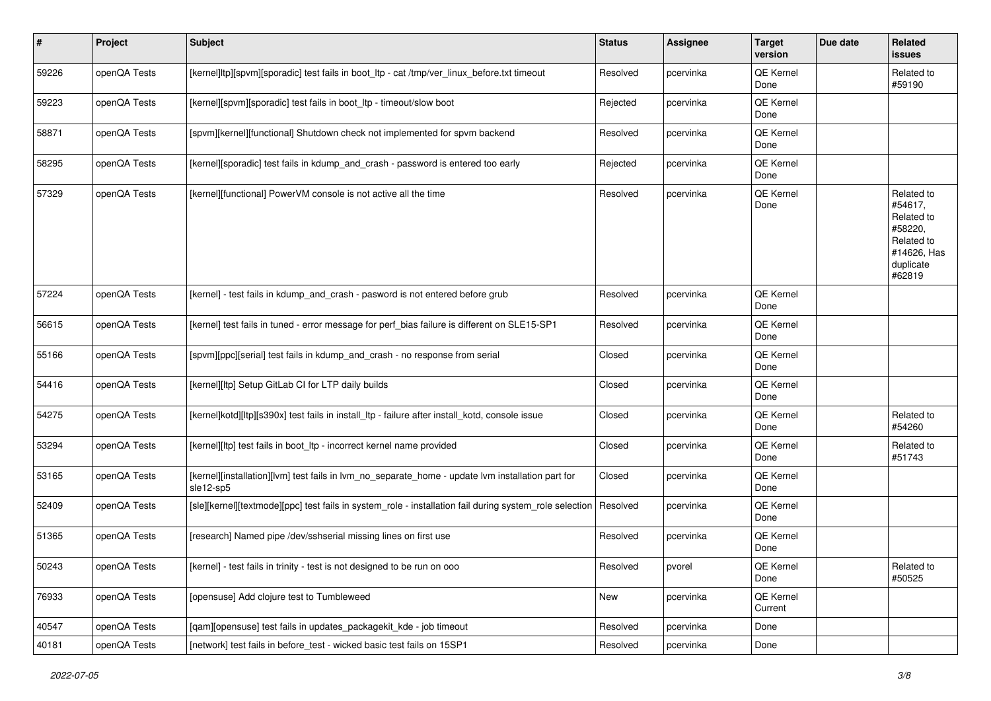| $\vert$ # | Project      | Subject                                                                                                        | <b>Status</b> | Assignee  | <b>Target</b><br>version | Due date | Related<br>issues                                                                                  |
|-----------|--------------|----------------------------------------------------------------------------------------------------------------|---------------|-----------|--------------------------|----------|----------------------------------------------------------------------------------------------------|
| 59226     | openQA Tests | [kernel]ltp][spvm][sporadic] test fails in boot_ltp - cat /tmp/ver_linux_before.txt timeout                    | Resolved      | pcervinka | QE Kernel<br>Done        |          | Related to<br>#59190                                                                               |
| 59223     | openQA Tests | [kernel][spvm][sporadic] test fails in boot_ltp - timeout/slow boot                                            | Rejected      | pcervinka | QE Kernel<br>Done        |          |                                                                                                    |
| 58871     | openQA Tests | [spvm][kernel][functional] Shutdown check not implemented for spvm backend                                     | Resolved      | pcervinka | QE Kernel<br>Done        |          |                                                                                                    |
| 58295     | openQA Tests | [kernel][sporadic] test fails in kdump_and_crash - password is entered too early                               | Rejected      | pcervinka | QE Kernel<br>Done        |          |                                                                                                    |
| 57329     | openQA Tests | [kernel][functional] PowerVM console is not active all the time                                                | Resolved      | pcervinka | QE Kernel<br>Done        |          | Related to<br>#54617,<br>Related to<br>#58220,<br>Related to<br>#14626, Has<br>duplicate<br>#62819 |
| 57224     | openQA Tests | [kernel] - test fails in kdump_and_crash - pasword is not entered before grub                                  | Resolved      | pcervinka | QE Kernel<br>Done        |          |                                                                                                    |
| 56615     | openQA Tests | [kernel] test fails in tuned - error message for perf_bias failure is different on SLE15-SP1                   | Resolved      | pcervinka | QE Kernel<br>Done        |          |                                                                                                    |
| 55166     | openQA Tests | [spvm][ppc][serial] test fails in kdump_and_crash - no response from serial                                    | Closed        | pcervinka | QE Kernel<br>Done        |          |                                                                                                    |
| 54416     | openQA Tests | [kernel][ltp] Setup GitLab CI for LTP daily builds                                                             | Closed        | pcervinka | QE Kernel<br>Done        |          |                                                                                                    |
| 54275     | openQA Tests | [kernel]kotd][ltp][s390x] test fails in install_ltp - failure after install_kotd, console issue                | Closed        | pcervinka | QE Kernel<br>Done        |          | Related to<br>#54260                                                                               |
| 53294     | openQA Tests | [kernel][ltp] test fails in boot_ltp - incorrect kernel name provided                                          | Closed        | pcervinka | QE Kernel<br>Done        |          | Related to<br>#51743                                                                               |
| 53165     | openQA Tests | [kernel][installation][lvm] test fails in lvm_no_separate_home - update lvm installation part for<br>sle12-sp5 | Closed        | pcervinka | QE Kernel<br>Done        |          |                                                                                                    |
| 52409     | openQA Tests | [sle][kernel][textmode][ppc] test fails in system_role - installation fail during system_role selection        | Resolved      | pcervinka | QE Kernel<br>Done        |          |                                                                                                    |
| 51365     | openQA Tests | [research] Named pipe /dev/sshserial missing lines on first use                                                | Resolved      | pcervinka | QE Kernel<br>Done        |          |                                                                                                    |
| 50243     | openQA Tests | [kernel] - test fails in trinity - test is not designed to be run on ooo                                       | Resolved      | pvorel    | QE Kernel<br>Done        |          | Related to<br>#50525                                                                               |
| 76933     | openQA Tests | [opensuse] Add clojure test to Tumbleweed                                                                      | New           | pcervinka | QE Kernel<br>Current     |          |                                                                                                    |
| 40547     | openQA Tests | [qam][opensuse] test fails in updates_packagekit_kde - job timeout                                             | Resolved      | pcervinka | Done                     |          |                                                                                                    |
| 40181     | openQA Tests | [network] test fails in before_test - wicked basic test fails on 15SP1                                         | Resolved      | pcervinka | Done                     |          |                                                                                                    |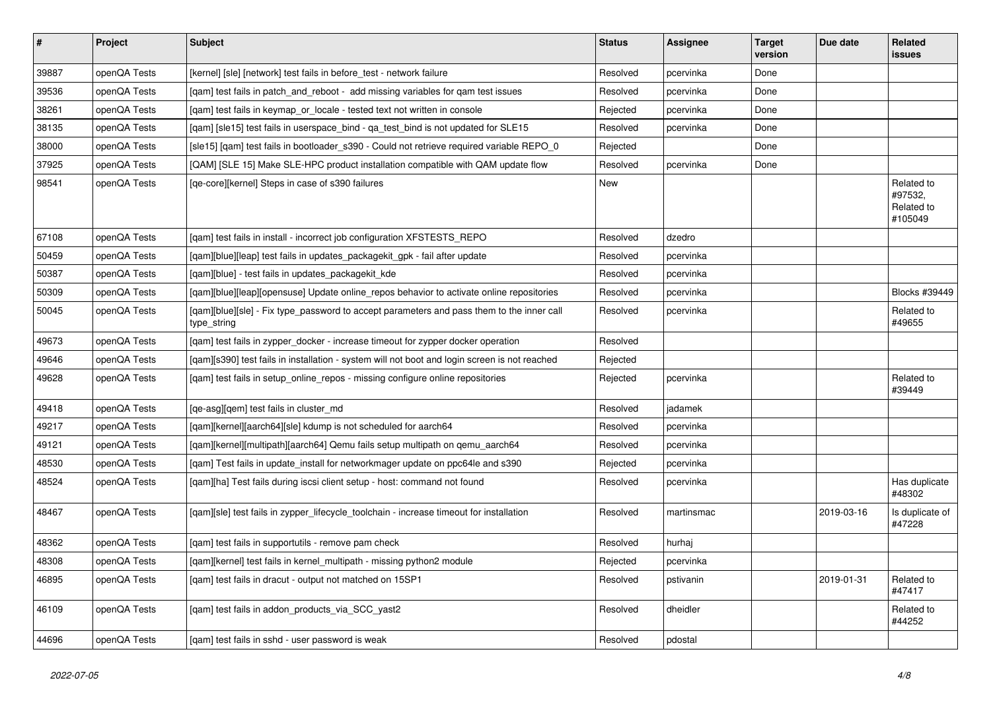| $\vert$ # | Project      | <b>Subject</b>                                                                                           | <b>Status</b> | <b>Assignee</b> | <b>Target</b><br>version | Due date   | <b>Related</b><br>issues                       |
|-----------|--------------|----------------------------------------------------------------------------------------------------------|---------------|-----------------|--------------------------|------------|------------------------------------------------|
| 39887     | openQA Tests | [kernel] [sle] [network] test fails in before_test - network failure                                     | Resolved      | pcervinka       | Done                     |            |                                                |
| 39536     | openQA Tests | [gam] test fails in patch and reboot - add missing variables for gam test issues                         | Resolved      | pcervinka       | Done                     |            |                                                |
| 38261     | openQA Tests | [gam] test fails in keymap or locale - tested text not written in console                                | Rejected      | pcervinka       | Done                     |            |                                                |
| 38135     | openQA Tests | [gam] [sle15] test fails in userspace bind - ga test bind is not updated for SLE15                       | Resolved      | pcervinka       | Done                     |            |                                                |
| 38000     | openQA Tests | [sle15] [qam] test fails in bootloader_s390 - Could not retrieve required variable REPO_0                | Rejected      |                 | Done                     |            |                                                |
| 37925     | openQA Tests | [QAM] [SLE 15] Make SLE-HPC product installation compatible with QAM update flow                         | Resolved      | pcervinka       | Done                     |            |                                                |
| 98541     | openQA Tests | [qe-core][kernel] Steps in case of s390 failures                                                         | New           |                 |                          |            | Related to<br>#97532,<br>Related to<br>#105049 |
| 67108     | openQA Tests | [gam] test fails in install - incorrect job configuration XFSTESTS REPO                                  | Resolved      | dzedro          |                          |            |                                                |
| 50459     | openQA Tests | [qam][blue][leap] test fails in updates_packagekit_gpk - fail after update                               | Resolved      | pcervinka       |                          |            |                                                |
| 50387     | openQA Tests | [gam][blue] - test fails in updates packagekit kde                                                       | Resolved      | pcervinka       |                          |            |                                                |
| 50309     | openQA Tests | [gam][blue][leap][opensuse] Update online repos behavior to activate online repositories                 | Resolved      | pcervinka       |                          |            | <b>Blocks #39449</b>                           |
| 50045     | openQA Tests | [gam][blue][sle] - Fix type password to accept parameters and pass them to the inner call<br>type_string | Resolved      | pcervinka       |                          |            | Related to<br>#49655                           |
| 49673     | openQA Tests | [gam] test fails in zypper docker - increase timeout for zypper docker operation                         | Resolved      |                 |                          |            |                                                |
| 49646     | openQA Tests | [qam][s390] test fails in installation - system will not boot and login screen is not reached            | Rejected      |                 |                          |            |                                                |
| 49628     | openQA Tests | [qam] test fails in setup_online_repos - missing configure online repositories                           | Rejected      | pcervinka       |                          |            | Related to<br>#39449                           |
| 49418     | openQA Tests | [ge-asg][gem] test fails in cluster md                                                                   | Resolved      | jadamek         |                          |            |                                                |
| 49217     | openQA Tests | [gam][kernel][aarch64][sle] kdump is not scheduled for aarch64                                           | Resolved      | pcervinka       |                          |            |                                                |
| 49121     | openQA Tests | [gam][kernel][multipath][aarch64] Qemu fails setup multipath on gemu aarch64                             | Resolved      | pcervinka       |                          |            |                                                |
| 48530     | openQA Tests | [qam] Test fails in update_install for networkmager update on ppc64le and s390                           | Rejected      | pcervinka       |                          |            |                                                |
| 48524     | openQA Tests | [gam][ha] Test fails during iscsi client setup - host: command not found                                 | Resolved      | pcervinka       |                          |            | Has duplicate<br>#48302                        |
| 48467     | openQA Tests | [qam][sle] test fails in zypper_lifecycle_toolchain - increase timeout for installation                  | Resolved      | martinsmac      |                          | 2019-03-16 | Is duplicate of<br>#47228                      |
| 48362     | openQA Tests | [gam] test fails in supportutils - remove pam check                                                      | Resolved      | hurhai          |                          |            |                                                |
| 48308     | openQA Tests | [gam][kernel] test fails in kernel multipath - missing python2 module                                    | Rejected      | pcervinka       |                          |            |                                                |
| 46895     | openQA Tests | [gam] test fails in dracut - output not matched on 15SP1                                                 | Resolved      | pstivanin       |                          | 2019-01-31 | Related to<br>#47417                           |
| 46109     | openQA Tests | [qam] test fails in addon_products_via_SCC_yast2                                                         | Resolved      | dheidler        |                          |            | Related to<br>#44252                           |
| 44696     | openQA Tests | [gam] test fails in sshd - user password is weak                                                         | Resolved      | pdostal         |                          |            |                                                |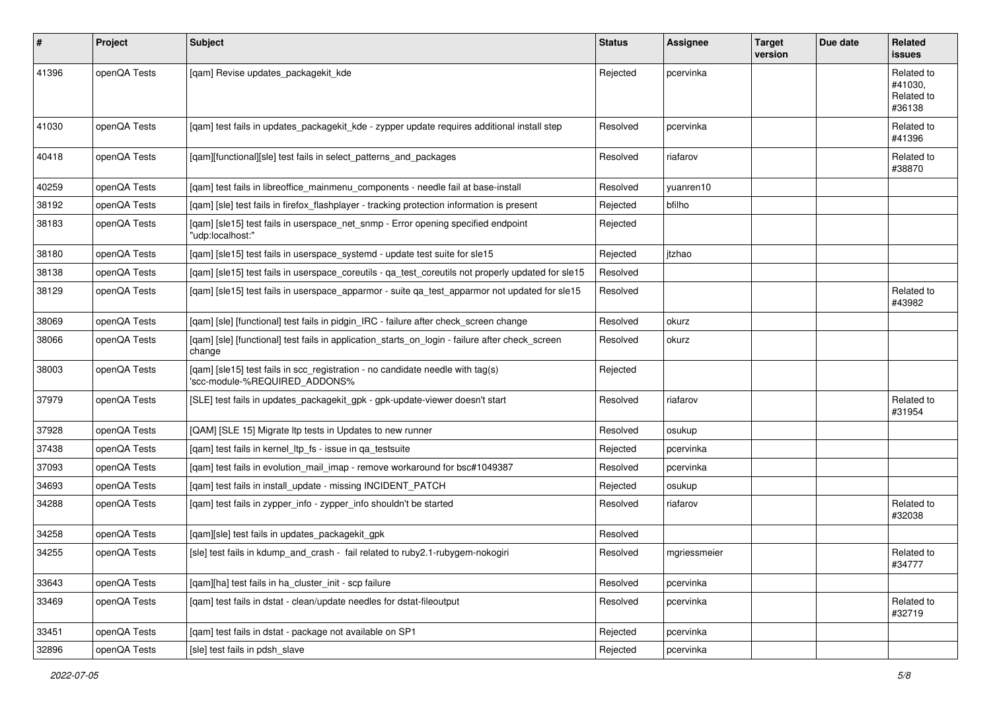| $\sharp$ | Project      | <b>Subject</b>                                                                                                  | <b>Status</b> | <b>Assignee</b> | <b>Target</b><br>version | Due date | <b>Related</b><br>issues                      |
|----------|--------------|-----------------------------------------------------------------------------------------------------------------|---------------|-----------------|--------------------------|----------|-----------------------------------------------|
| 41396    | openQA Tests | [qam] Revise updates_packagekit_kde                                                                             | Rejected      | pcervinka       |                          |          | Related to<br>#41030.<br>Related to<br>#36138 |
| 41030    | openQA Tests | [qam] test fails in updates_packagekit_kde - zypper update requires additional install step                     | Resolved      | pcervinka       |                          |          | Related to<br>#41396                          |
| 40418    | openQA Tests | [qam][functional][sle] test fails in select_patterns_and_packages                                               | Resolved      | riafarov        |                          |          | Related to<br>#38870                          |
| 40259    | openQA Tests | [qam] test fails in libreoffice_mainmenu_components - needle fail at base-install                               | Resolved      | vuanren10       |                          |          |                                               |
| 38192    | openQA Tests | [qam] [sle] test fails in firefox_flashplayer - tracking protection information is present                      | Rejected      | bfilho          |                          |          |                                               |
| 38183    | openQA Tests | [qam] [sle15] test fails in userspace_net_snmp - Error opening specified endpoint<br>"udp:localhost:"           | Rejected      |                 |                          |          |                                               |
| 38180    | openQA Tests | [qam] [sle15] test fails in userspace_systemd - update test suite for sle15                                     | Rejected      | itzhao          |                          |          |                                               |
| 38138    | openQA Tests | [qam] [sle15] test fails in userspace_coreutils - qa_test_coreutils not properly updated for sle15              | Resolved      |                 |                          |          |                                               |
| 38129    | openQA Tests | [qam] [sle15] test fails in userspace_apparmor - suite qa_test_apparmor not updated for sle15                   | Resolved      |                 |                          |          | Related to<br>#43982                          |
| 38069    | openQA Tests | [qam] [sle] [functional] test fails in pidgin_IRC - failure after check_screen change                           | Resolved      | okurz           |                          |          |                                               |
| 38066    | openQA Tests | [qam] [sle] [functional] test fails in application_starts_on_login - failure after check_screen<br>change       | Resolved      | okurz           |                          |          |                                               |
| 38003    | openQA Tests | [qam] [sle15] test fails in scc_registration - no candidate needle with tag(s)<br>'scc-module-%REQUIRED_ADDONS% | Rejected      |                 |                          |          |                                               |
| 37979    | openQA Tests | [SLE] test fails in updates_packagekit_gpk - gpk-update-viewer doesn't start                                    | Resolved      | riafarov        |                          |          | Related to<br>#31954                          |
| 37928    | openQA Tests | [QAM] [SLE 15] Migrate Itp tests in Updates to new runner                                                       | Resolved      | osukup          |                          |          |                                               |
| 37438    | openQA Tests | [gam] test fails in kernel Itp fs - issue in ga testsuite                                                       | Rejected      | pcervinka       |                          |          |                                               |
| 37093    | openQA Tests | [qam] test fails in evolution_mail_imap - remove workaround for bsc#1049387                                     | Resolved      | pcervinka       |                          |          |                                               |
| 34693    | openQA Tests | [qam] test fails in install_update - missing INCIDENT_PATCH                                                     | Rejected      | osukup          |                          |          |                                               |
| 34288    | openQA Tests | [qam] test fails in zypper_info - zypper_info shouldn't be started                                              | Resolved      | riafarov        |                          |          | Related to<br>#32038                          |
| 34258    | openQA Tests | [qam][sle] test fails in updates_packagekit_gpk                                                                 | Resolved      |                 |                          |          |                                               |
| 34255    | openQA Tests | [sle] test fails in kdump_and_crash - fail related to ruby2.1-rubygem-nokogiri                                  | Resolved      | mgriessmeier    |                          |          | Related to<br>#34777                          |
| 33643    | openQA Tests | [qam][ha] test fails in ha_cluster_init - scp failure                                                           | Resolved      | pcervinka       |                          |          |                                               |
| 33469    | openQA Tests | [qam] test fails in dstat - clean/update needles for dstat-fileoutput                                           | Resolved      | pcervinka       |                          |          | Related to<br>#32719                          |
| 33451    | openQA Tests | [qam] test fails in dstat - package not available on SP1                                                        | Rejected      | pcervinka       |                          |          |                                               |
| 32896    | openQA Tests | [sle] test fails in pdsh slave                                                                                  | Rejected      | pcervinka       |                          |          |                                               |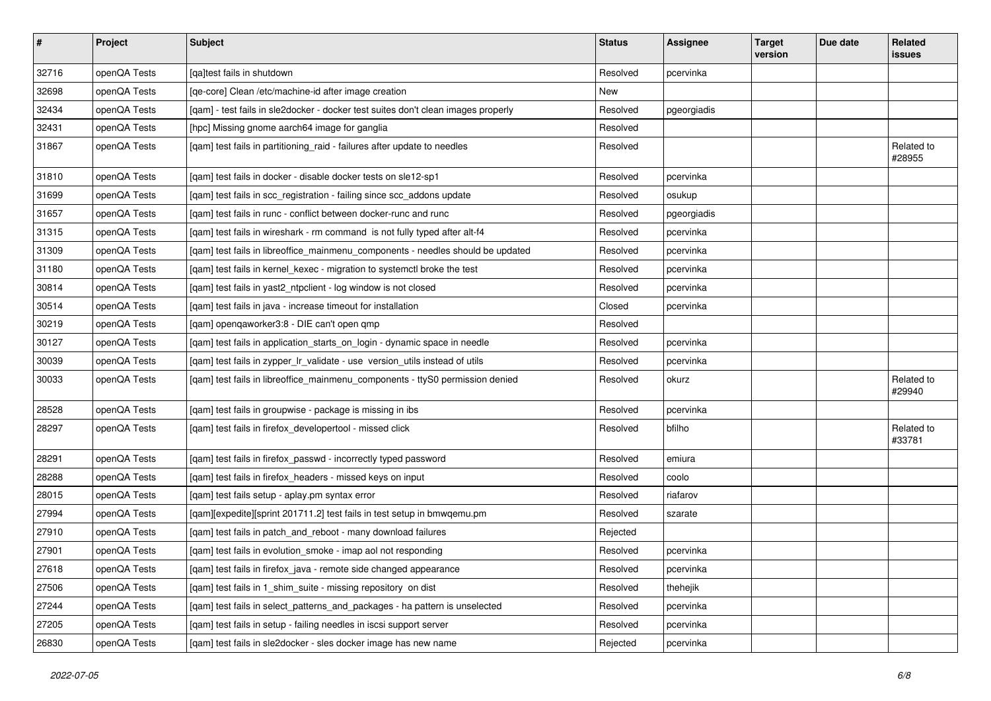| $\vert$ # | Project      | Subject                                                                           | <b>Status</b> | Assignee    | <b>Target</b><br>version | Due date | Related<br>issues    |
|-----------|--------------|-----------------------------------------------------------------------------------|---------------|-------------|--------------------------|----------|----------------------|
| 32716     | openQA Tests | [qa]test fails in shutdown                                                        | Resolved      | pcervinka   |                          |          |                      |
| 32698     | openQA Tests | [ge-core] Clean /etc/machine-id after image creation                              | New           |             |                          |          |                      |
| 32434     | openQA Tests | [qam] - test fails in sle2docker - docker test suites don't clean images properly | Resolved      | pgeorgiadis |                          |          |                      |
| 32431     | openQA Tests | [hpc] Missing gnome aarch64 image for ganglia                                     | Resolved      |             |                          |          |                      |
| 31867     | openQA Tests | [qam] test fails in partitioning_raid - failures after update to needles          | Resolved      |             |                          |          | Related to<br>#28955 |
| 31810     | openQA Tests | [qam] test fails in docker - disable docker tests on sle12-sp1                    | Resolved      | pcervinka   |                          |          |                      |
| 31699     | openQA Tests | [qam] test fails in scc_registration - failing since scc_addons update            | Resolved      | osukup      |                          |          |                      |
| 31657     | openQA Tests | [qam] test fails in runc - conflict between docker-runc and runc                  | Resolved      | pgeorgiadis |                          |          |                      |
| 31315     | openQA Tests | [gam] test fails in wireshark - rm command is not fully typed after alt-f4        | Resolved      | pcervinka   |                          |          |                      |
| 31309     | openQA Tests | [qam] test fails in libreoffice_mainmenu_components - needles should be updated   | Resolved      | pcervinka   |                          |          |                      |
| 31180     | openQA Tests | [qam] test fails in kernel_kexec - migration to systemctl broke the test          | Resolved      | pcervinka   |                          |          |                      |
| 30814     | openQA Tests | [qam] test fails in yast2_ntpclient - log window is not closed                    | Resolved      | pcervinka   |                          |          |                      |
| 30514     | openQA Tests | [qam] test fails in java - increase timeout for installation                      | Closed        | pcervinka   |                          |          |                      |
| 30219     | openQA Tests | [qam] openqaworker3:8 - DIE can't open qmp                                        | Resolved      |             |                          |          |                      |
| 30127     | openQA Tests | [qam] test fails in application_starts_on_login - dynamic space in needle         | Resolved      | pcervinka   |                          |          |                      |
| 30039     | openQA Tests | [qam] test fails in zypper_lr_validate - use version_utils instead of utils       | Resolved      | pcervinka   |                          |          |                      |
| 30033     | openQA Tests | [qam] test fails in libreoffice_mainmenu_components - ttyS0 permission denied     | Resolved      | okurz       |                          |          | Related to<br>#29940 |
| 28528     | openQA Tests | [qam] test fails in groupwise - package is missing in ibs                         | Resolved      | pcervinka   |                          |          |                      |
| 28297     | openQA Tests | [qam] test fails in firefox_developertool - missed click                          | Resolved      | bfilho      |                          |          | Related to<br>#33781 |
| 28291     | openQA Tests | [qam] test fails in firefox_passwd - incorrectly typed password                   | Resolved      | emiura      |                          |          |                      |
| 28288     | openQA Tests | [qam] test fails in firefox_headers - missed keys on input                        | Resolved      | coolo       |                          |          |                      |
| 28015     | openQA Tests | [qam] test fails setup - aplay.pm syntax error                                    | Resolved      | riafarov    |                          |          |                      |
| 27994     | openQA Tests | [qam][expedite][sprint 201711.2] test fails in test setup in bmwqemu.pm           | Resolved      | szarate     |                          |          |                      |
| 27910     | openQA Tests | [qam] test fails in patch_and_reboot - many download failures                     | Rejected      |             |                          |          |                      |
| 27901     | openQA Tests | [qam] test fails in evolution_smoke - imap aol not responding                     | Resolved      | pcervinka   |                          |          |                      |
| 27618     | openQA Tests | [qam] test fails in firefox_java - remote side changed appearance                 | Resolved      | pcervinka   |                          |          |                      |
| 27506     | openQA Tests | [qam] test fails in 1_shim_suite - missing repository on dist                     | Resolved      | thehejik    |                          |          |                      |
| 27244     | openQA Tests | [gam] test fails in select patterns and packages - ha pattern is unselected       | Resolved      | pcervinka   |                          |          |                      |
| 27205     | openQA Tests | [qam] test fails in setup - failing needles in iscsi support server               | Resolved      | pcervinka   |                          |          |                      |
| 26830     | openQA Tests | [qam] test fails in sle2docker - sles docker image has new name                   | Rejected      | pcervinka   |                          |          |                      |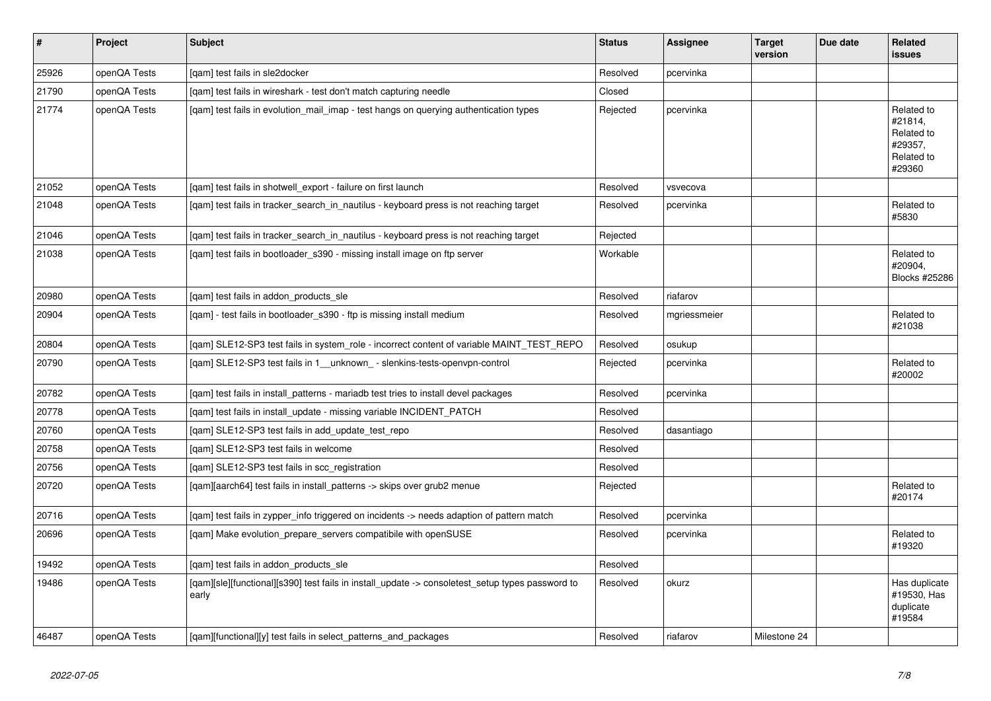| $\pmb{\#}$ | Project      | <b>Subject</b>                                                                                            | <b>Status</b> | <b>Assignee</b> | <b>Target</b><br>version | Due date | Related<br>issues                                                      |
|------------|--------------|-----------------------------------------------------------------------------------------------------------|---------------|-----------------|--------------------------|----------|------------------------------------------------------------------------|
| 25926      | openQA Tests | [gam] test fails in sle2docker                                                                            | Resolved      | pcervinka       |                          |          |                                                                        |
| 21790      | openQA Tests | [gam] test fails in wireshark - test don't match capturing needle                                         | Closed        |                 |                          |          |                                                                        |
| 21774      | openQA Tests | [gam] test fails in evolution mail imap - test hangs on querying authentication types                     | Rejected      | pcervinka       |                          |          | Related to<br>#21814,<br>Related to<br>#29357,<br>Related to<br>#29360 |
| 21052      | openQA Tests | [gam] test fails in shotwell export - failure on first launch                                             | Resolved      | vsvecova        |                          |          |                                                                        |
| 21048      | openQA Tests | [gam] test fails in tracker search in nautilus - keyboard press is not reaching target                    | Resolved      | pcervinka       |                          |          | Related to<br>#5830                                                    |
| 21046      | openQA Tests | [gam] test fails in tracker search in nautilus - keyboard press is not reaching target                    | Rejected      |                 |                          |          |                                                                        |
| 21038      | openQA Tests | [gam] test fails in bootloader s390 - missing install image on ftp server                                 | Workable      |                 |                          |          | Related to<br>#20904.<br>Blocks #25286                                 |
| 20980      | openQA Tests | [qam] test fails in addon_products_sle                                                                    | Resolved      | riafarov        |                          |          |                                                                        |
| 20904      | openQA Tests | [gam] - test fails in bootloader s390 - ftp is missing install medium                                     | Resolved      | mgriessmeier    |                          |          | Related to<br>#21038                                                   |
| 20804      | openQA Tests | [gam] SLE12-SP3 test fails in system role - incorrect content of variable MAINT TEST REPO                 | Resolved      | osukup          |                          |          |                                                                        |
| 20790      | openQA Tests | [qam] SLE12-SP3 test fails in 1_unknown_- slenkins-tests-openvpn-control                                  | Rejected      | pcervinka       |                          |          | Related to<br>#20002                                                   |
| 20782      | openQA Tests | [gam] test fails in install patterns - mariadb test tries to install devel packages                       | Resolved      | pcervinka       |                          |          |                                                                        |
| 20778      | openQA Tests | [qam] test fails in install_update - missing variable INCIDENT_PATCH                                      | Resolved      |                 |                          |          |                                                                        |
| 20760      | openQA Tests | [gam] SLE12-SP3 test fails in add update test repo                                                        | Resolved      | dasantiago      |                          |          |                                                                        |
| 20758      | openQA Tests | [gam] SLE12-SP3 test fails in welcome                                                                     | Resolved      |                 |                          |          |                                                                        |
| 20756      | openQA Tests | [gam] SLE12-SP3 test fails in scc registration                                                            | Resolved      |                 |                          |          |                                                                        |
| 20720      | openQA Tests | [qam][aarch64] test fails in install_patterns -> skips over grub2 menue                                   | Rejected      |                 |                          |          | Related to<br>#20174                                                   |
| 20716      | openQA Tests | [gam] test fails in zypper info triggered on incidents -> needs adaption of pattern match                 | Resolved      | pcervinka       |                          |          |                                                                        |
| 20696      | openQA Tests | [qam] Make evolution_prepare_servers compatibile with openSUSE                                            | Resolved      | pcervinka       |                          |          | Related to<br>#19320                                                   |
| 19492      | openQA Tests | [gam] test fails in addon products sle                                                                    | Resolved      |                 |                          |          |                                                                        |
| 19486      | openQA Tests | [qam][sle][functional][s390] test fails in install_update -> consoletest_setup types password to<br>early | Resolved      | okurz           |                          |          | Has duplicate<br>#19530, Has<br>duplicate<br>#19584                    |
| 46487      | openQA Tests | [gam][functional][y] test fails in select patterns and packages                                           | Resolved      | riafarov        | Milestone 24             |          |                                                                        |